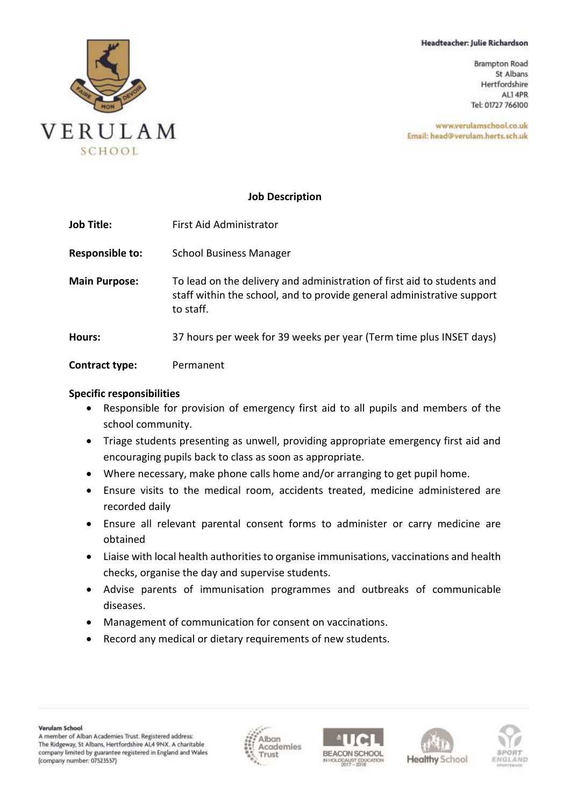### Headteacher: Julie Richardson

**Brampton Road** St Albans Hertfordshire AL1 4PR Tel: 01727 766100

www.verulamschool.co.uk Email: head@verulam.herts.sch.uk



### **Job Description**

| <b>Job Title:</b>      | First Aid Administrator                                                                                                                                        |
|------------------------|----------------------------------------------------------------------------------------------------------------------------------------------------------------|
| <b>Responsible to:</b> | <b>School Business Manager</b>                                                                                                                                 |
| <b>Main Purpose:</b>   | To lead on the delivery and administration of first aid to students and<br>staff within the school, and to provide general administrative support<br>to staff. |
| Hours:                 | 37 hours per week for 39 weeks per year (Term time plus INSET days)                                                                                            |
| <b>Contract type:</b>  | Permanent                                                                                                                                                      |

### **Specific responsibilities**

- Responsible for provision of emergency first aid to all pupils and members of the school community.
- Triage students presenting as unwell, providing appropriate emergency first aid and encouraging pupils back to class as soon as appropriate.
- Where necessary, make phone calls home and/or arranging to get pupil home.
- Ensure visits to the medical room, accidents treated, medicine administered are recorded daily
- Ensure all relevant parental consent forms to administer or carry medicine are obtained
- Liaise with local health authorities to organise immunisations, vaccinations and health checks, organise the day and supervise students.
- Advise parents of immunisation programmes and outbreaks of communicable diseases.
- Management of communication for consent on vaccinations.
- Record any medical or dietary requirements of new students.







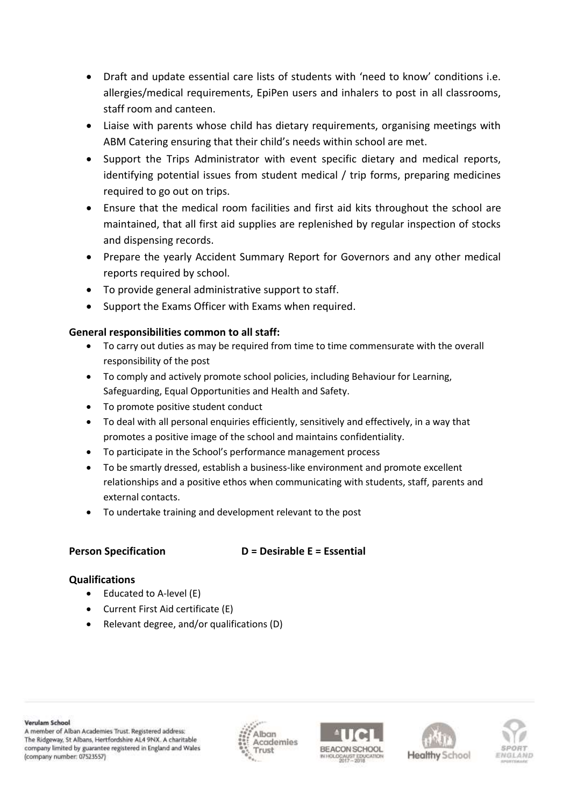- Draft and update essential care lists of students with 'need to know' conditions i.e. allergies/medical requirements, EpiPen users and inhalers to post in all classrooms, staff room and canteen.
- Liaise with parents whose child has dietary requirements, organising meetings with ABM Catering ensuring that their child's needs within school are met.
- Support the Trips Administrator with event specific dietary and medical reports, identifying potential issues from student medical / trip forms, preparing medicines required to go out on trips.
- Ensure that the medical room facilities and first aid kits throughout the school are maintained, that all first aid supplies are replenished by regular inspection of stocks and dispensing records.
- Prepare the yearly Accident Summary Report for Governors and any other medical reports required by school.
- To provide general administrative support to staff.
- Support the Exams Officer with Exams when required.

# **General responsibilities common to all staff:**

- To carry out duties as may be required from time to time commensurate with the overall responsibility of the post
- To comply and actively promote school policies, including Behaviour for Learning, Safeguarding, Equal Opportunities and Health and Safety.
- To promote positive student conduct
- To deal with all personal enquiries efficiently, sensitively and effectively, in a way that promotes a positive image of the school and maintains confidentiality.
- To participate in the School's performance management process
- To be smartly dressed, establish a business-like environment and promote excellent relationships and a positive ethos when communicating with students, staff, parents and external contacts.
- To undertake training and development relevant to the post

# **Person Specification D = Desirable E = Essential**

# **Qualifications**

- Educated to A-level (E)
- Current First Aid certificate (E)
- Relevant degree, and/or qualifications (D)

Verulam School

A member of Alban Academies Trust. Registered address: The Ridgeway, St Albans, Hertfordshire AL4 9NX. A charitable company limited by guarantee registered in England and Wales (company number: 07523557)